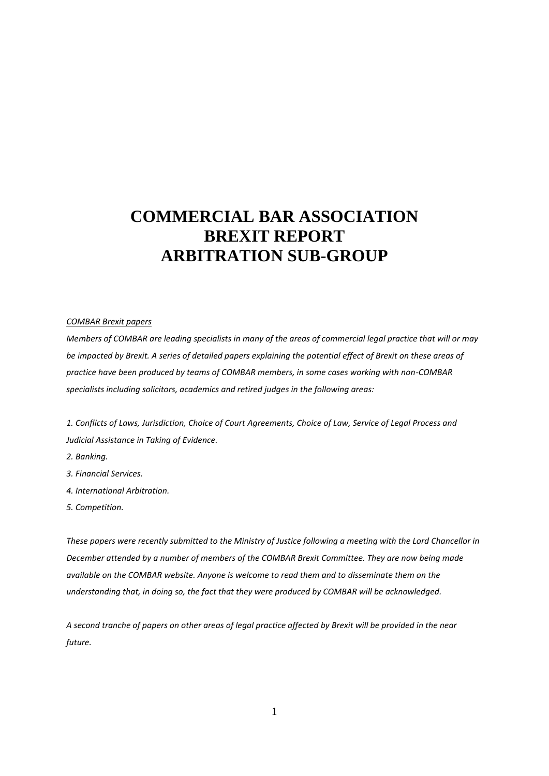# **COMMERCIAL BAR ASSOCIATION BREXIT REPORT ARBITRATION SUB-GROUP**

#### *COMBAR Brexit papers*

*Members of COMBAR are leading specialists in many of the areas of commercial legal practice that will or may be impacted by Brexit. A series of detailed papers explaining the potential effect of Brexit on these areas of practice have been produced by teams of COMBAR members, in some cases working with non-COMBAR specialists including solicitors, academics and retired judges in the following areas:*

*1. Conflicts of Laws, Jurisdiction, Choice of Court Agreements, Choice of Law, Service of Legal Process and Judicial Assistance in Taking of Evidence.*

- *2. Banking.*
- *3. Financial Services.*
- *4. International Arbitration.*
- *5. Competition.*

*These papers were recently submitted to the Ministry of Justice following a meeting with the Lord Chancellor in December attended by a number of members of the COMBAR Brexit Committee. They are now being made available on the COMBAR website. Anyone is welcome to read them and to disseminate them on the understanding that, in doing so, the fact that they were produced by COMBAR will be acknowledged.*

*A second tranche of papers on other areas of legal practice affected by Brexit will be provided in the near future.*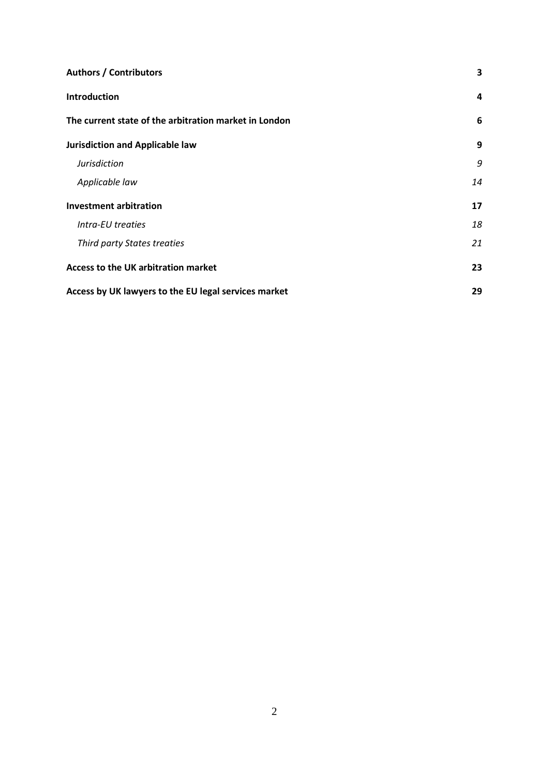| <b>Authors / Contributors</b>                         |    |
|-------------------------------------------------------|----|
| <b>Introduction</b>                                   | 4  |
| The current state of the arbitration market in London | 6  |
| <b>Jurisdiction and Applicable law</b>                | 9  |
| <b>Jurisdiction</b>                                   | 9  |
| Applicable law                                        | 14 |
| <b>Investment arbitration</b>                         | 17 |
| Intra-EU treaties                                     | 18 |
| Third party States treaties                           | 21 |
| Access to the UK arbitration market                   | 23 |
| Access by UK lawyers to the EU legal services market  | 29 |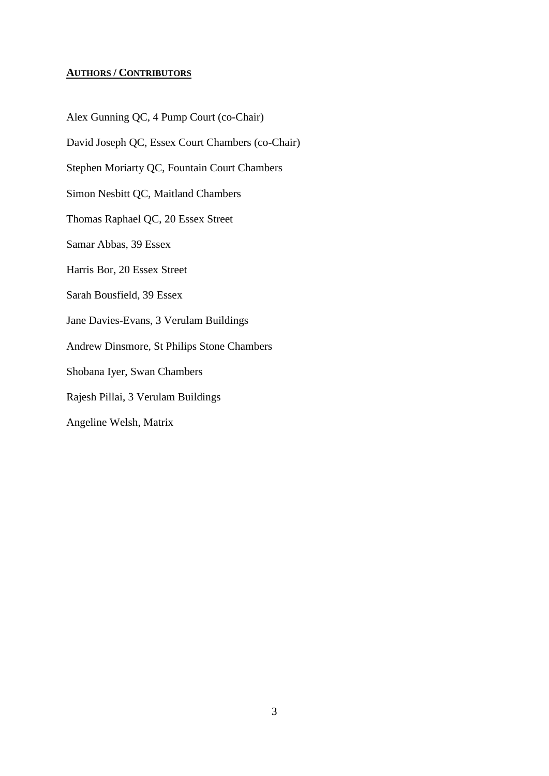# **AUTHORS / CONTRIBUTORS**

Alex Gunning QC, 4 Pump Court (co-Chair) David Joseph QC, Essex Court Chambers (co-Chair) Stephen Moriarty QC, Fountain Court Chambers Simon Nesbitt QC, Maitland Chambers Thomas Raphael QC, 20 Essex Street Samar Abbas, 39 Essex Harris Bor, 20 Essex Street Sarah Bousfield, 39 Essex Jane Davies-Evans, 3 Verulam Buildings Andrew Dinsmore, St Philips Stone Chambers Shobana Iyer, Swan Chambers Rajesh Pillai, 3 Verulam Buildings Angeline Welsh, Matrix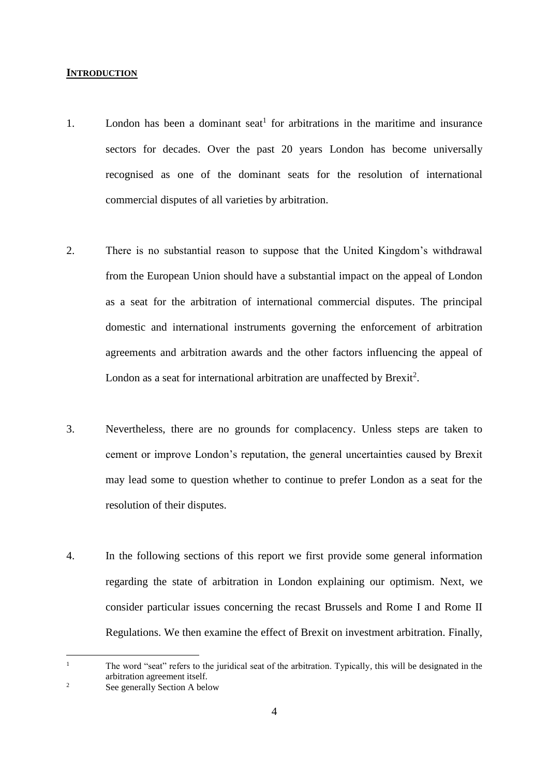#### **INTRODUCTION**

- 1. London has been a dominant seat<sup>1</sup> for arbitrations in the maritime and insurance sectors for decades. Over the past 20 years London has become universally recognised as one of the dominant seats for the resolution of international commercial disputes of all varieties by arbitration.
- 2. There is no substantial reason to suppose that the United Kingdom's withdrawal from the European Union should have a substantial impact on the appeal of London as a seat for the arbitration of international commercial disputes. The principal domestic and international instruments governing the enforcement of arbitration agreements and arbitration awards and the other factors influencing the appeal of London as a seat for international arbitration are unaffected by Brexit<sup>2</sup>.
- 3. Nevertheless, there are no grounds for complacency. Unless steps are taken to cement or improve London's reputation, the general uncertainties caused by Brexit may lead some to question whether to continue to prefer London as a seat for the resolution of their disputes.
- 4. In the following sections of this report we first provide some general information regarding the state of arbitration in London explaining our optimism. Next, we consider particular issues concerning the recast Brussels and Rome I and Rome II Regulations. We then examine the effect of Brexit on investment arbitration. Finally,

<sup>&</sup>lt;sup>1</sup> The word "seat" refers to the juridical seat of the arbitration. Typically, this will be designated in the arbitration agreement itself.

<sup>&</sup>lt;sup>2</sup> See generally Section A below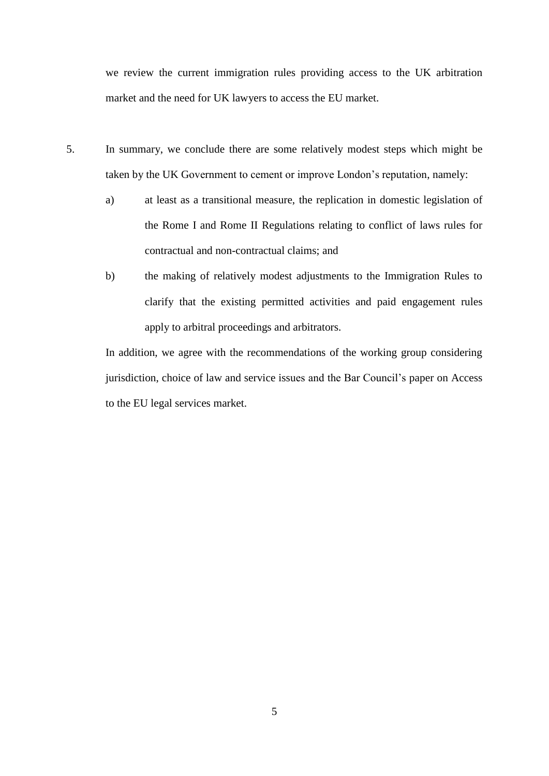we review the current immigration rules providing access to the UK arbitration market and the need for UK lawyers to access the EU market.

- 5. In summary, we conclude there are some relatively modest steps which might be taken by the UK Government to cement or improve London's reputation, namely:
	- a) at least as a transitional measure, the replication in domestic legislation of the Rome I and Rome II Regulations relating to conflict of laws rules for contractual and non-contractual claims; and
	- b) the making of relatively modest adjustments to the Immigration Rules to clarify that the existing permitted activities and paid engagement rules apply to arbitral proceedings and arbitrators.

In addition, we agree with the recommendations of the working group considering jurisdiction, choice of law and service issues and the Bar Council's paper on Access to the EU legal services market.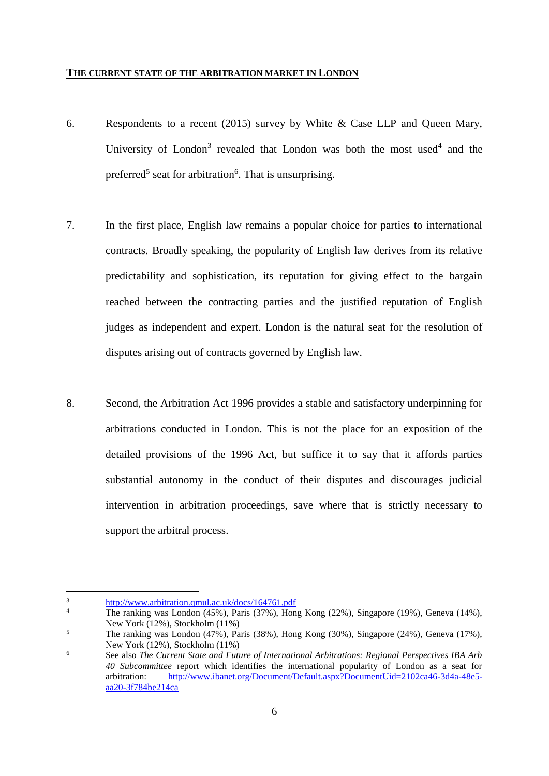#### **THE CURRENT STATE OF THE ARBITRATION MARKET IN LONDON**

- 6. Respondents to a recent (2015) survey by White & Case LLP and Queen Mary, University of London<sup>3</sup> revealed that London was both the most used<sup>4</sup> and the preferred<sup>5</sup> seat for arbitration<sup>6</sup>. That is unsurprising.
- 7. In the first place, English law remains a popular choice for parties to international contracts. Broadly speaking, the popularity of English law derives from its relative predictability and sophistication, its reputation for giving effect to the bargain reached between the contracting parties and the justified reputation of English judges as independent and expert. London is the natural seat for the resolution of disputes arising out of contracts governed by English law.
- 8. Second, the Arbitration Act 1996 provides a stable and satisfactory underpinning for arbitrations conducted in London. This is not the place for an exposition of the detailed provisions of the 1996 Act, but suffice it to say that it affords parties substantial autonomy in the conduct of their disputes and discourages judicial intervention in arbitration proceedings, save where that is strictly necessary to support the arbitral process.

 $\frac{3}{4}$  <http://www.arbitration.qmul.ac.uk/docs/164761.pdf>

<sup>4</sup> The ranking was London (45%), Paris (37%), Hong Kong (22%), Singapore (19%), Geneva (14%), New York (12%), Stockholm (11%)

<sup>&</sup>lt;sup>5</sup> The ranking was London (47%), Paris (38%), Hong Kong (30%), Singapore (24%), Geneva (17%), New York (12%), Stockholm (11%)

<sup>6</sup> See also *The Current State and Future of International Arbitrations: Regional Perspectives IBA Arb 40 Subcommittee* report which identifies the international popularity of London as a seat for arbitration: [http://www.ibanet.org/Document/Default.aspx?DocumentUid=2102ca46-3d4a-48e5](http://www.ibanet.org/Document/Default.aspx?DocumentUid=2102ca46-3d4a-48e5-aa20-3f784be214ca) [aa20-3f784be214ca](http://www.ibanet.org/Document/Default.aspx?DocumentUid=2102ca46-3d4a-48e5-aa20-3f784be214ca)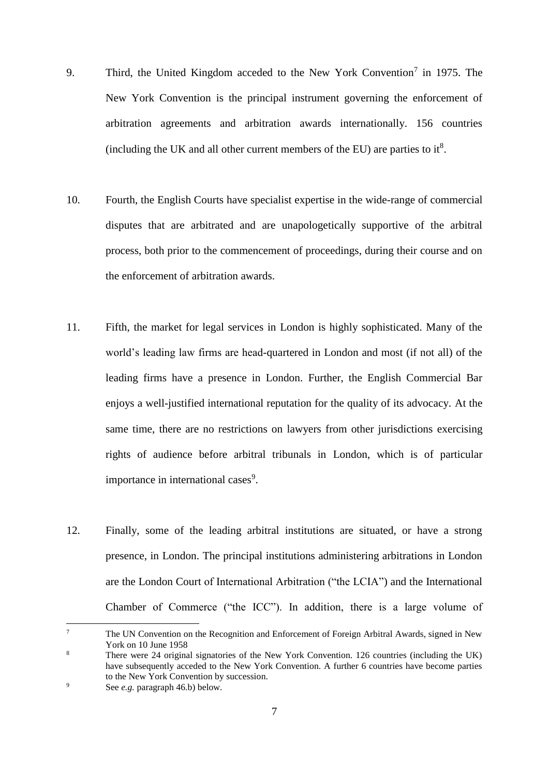- 9. Third, the United Kingdom acceded to the New York Convention<sup>7</sup> in 1975. The New York Convention is the principal instrument governing the enforcement of arbitration agreements and arbitration awards internationally. 156 countries (including the UK and all other current members of the EU) are parties to it<sup>8</sup>.
- 10. Fourth, the English Courts have specialist expertise in the wide-range of commercial disputes that are arbitrated and are unapologetically supportive of the arbitral process, both prior to the commencement of proceedings, during their course and on the enforcement of arbitration awards.
- 11. Fifth, the market for legal services in London is highly sophisticated. Many of the world's leading law firms are head-quartered in London and most (if not all) of the leading firms have a presence in London. Further, the English Commercial Bar enjoys a well-justified international reputation for the quality of its advocacy. At the same time, there are no restrictions on lawyers from other jurisdictions exercising rights of audience before arbitral tribunals in London, which is of particular importance in international cases<sup>9</sup>.
- 12. Finally, some of the leading arbitral institutions are situated, or have a strong presence, in London. The principal institutions administering arbitrations in London are the London Court of International Arbitration ("the LCIA") and the International Chamber of Commerce ("the ICC"). In addition, there is a large volume of

<sup>7</sup> The UN Convention on the Recognition and Enforcement of Foreign Arbitral Awards, signed in New York on 10 June 1958

<sup>&</sup>lt;sup>8</sup> There were 24 original signatories of the New York Convention. 126 countries (including the UK) have subsequently acceded to the New York Convention. A further 6 countries have become parties to the New York Convention by succession.

<sup>9</sup> See *e.g.* paragraph [46.b\)](#page-23-0) below.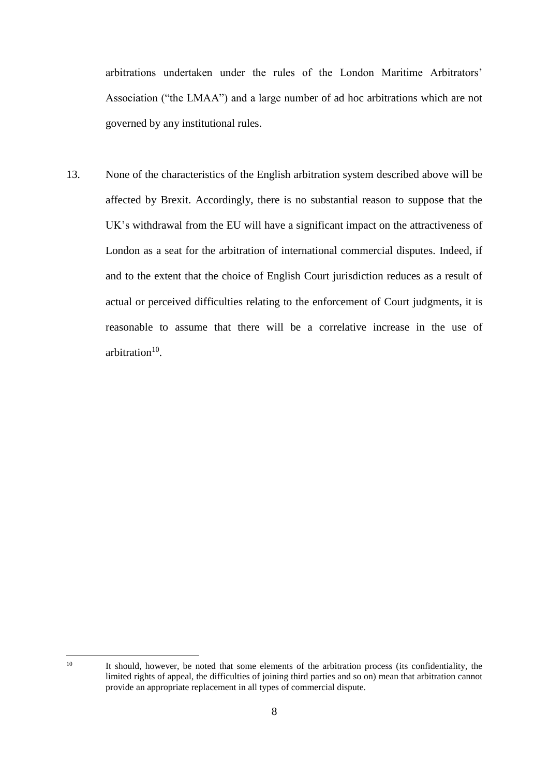arbitrations undertaken under the rules of the London Maritime Arbitrators' Association ("the LMAA") and a large number of ad hoc arbitrations which are not governed by any institutional rules.

13. None of the characteristics of the English arbitration system described above will be affected by Brexit. Accordingly, there is no substantial reason to suppose that the UK's withdrawal from the EU will have a significant impact on the attractiveness of London as a seat for the arbitration of international commercial disputes. Indeed, if and to the extent that the choice of English Court jurisdiction reduces as a result of actual or perceived difficulties relating to the enforcement of Court judgments, it is reasonable to assume that there will be a correlative increase in the use of arbitration<sup>10</sup>.

<sup>&</sup>lt;sup>10</sup> It should, however, be noted that some elements of the arbitration process (its confidentiality, the limited rights of appeal, the difficulties of joining third parties and so on) mean that arbitration cannot provide an appropriate replacement in all types of commercial dispute.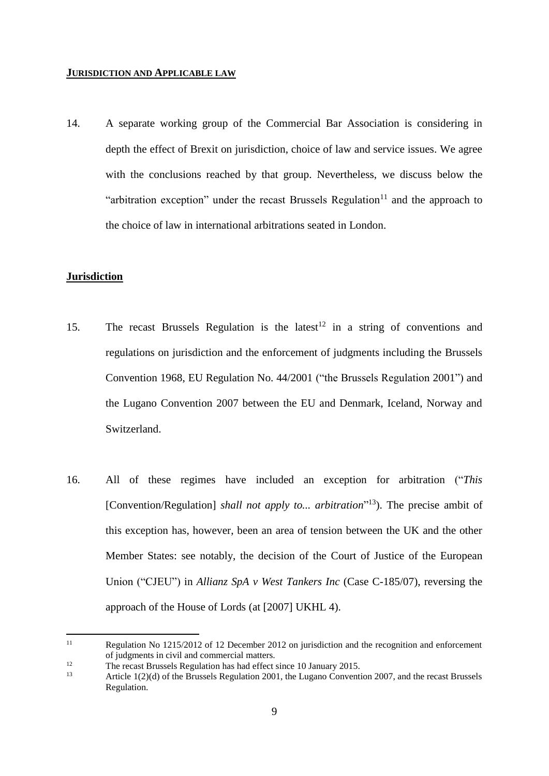#### **JURISDICTION AND APPLICABLE LAW**

14. A separate working group of the Commercial Bar Association is considering in depth the effect of Brexit on jurisdiction, choice of law and service issues. We agree with the conclusions reached by that group. Nevertheless, we discuss below the "arbitration exception" under the recast Brussels Regulation<sup>11</sup> and the approach to the choice of law in international arbitrations seated in London.

## **Jurisdiction**

- 15. The recast Brussels Regulation is the latest<sup>12</sup> in a string of conventions and regulations on jurisdiction and the enforcement of judgments including the Brussels Convention 1968, EU Regulation No. 44/2001 ("the Brussels Regulation 2001") and the Lugano Convention 2007 between the EU and Denmark, Iceland, Norway and Switzerland.
- 16. All of these regimes have included an exception for arbitration ("*This*  [Convention/Regulation] *shall not apply to... arbitration*<sup>"13</sup>). The precise ambit of this exception has, however, been an area of tension between the UK and the other Member States: see notably, the decision of the Court of Justice of the European Union ("CJEU") in *Allianz SpA v West Tankers Inc* (Case C-185/07), reversing the approach of the House of Lords (at [2007] UKHL 4).

 $11$ Regulation No 1215/2012 of 12 December 2012 on jurisdiction and the recognition and enforcement of judgments in civil and commercial matters.

<sup>&</sup>lt;sup>12</sup> The recast Brussels Regulation has had effect since 10 January 2015.

Article 1(2)(d) of the Brussels Regulation 2001, the Lugano Convention 2007, and the recast Brussels Regulation.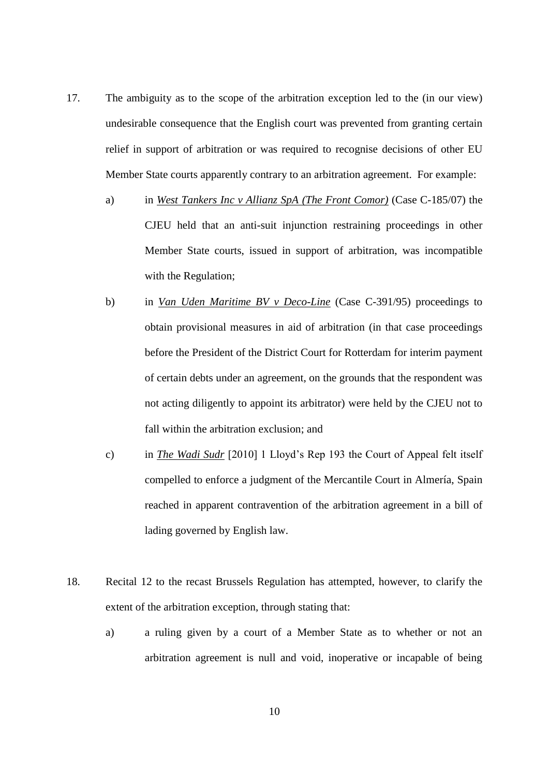- 17. The ambiguity as to the scope of the arbitration exception led to the (in our view) undesirable consequence that the English court was prevented from granting certain relief in support of arbitration or was required to recognise decisions of other EU Member State courts apparently contrary to an arbitration agreement. For example:
	- a) in *West Tankers Inc v Allianz SpA (The Front Comor)* (Case C-185/07) the CJEU held that an anti-suit injunction restraining proceedings in other Member State courts, issued in support of arbitration, was incompatible with the Regulation;
	- b) in *Van Uden Maritime BV v Deco-Line* (Case C-391/95) proceedings to obtain provisional measures in aid of arbitration (in that case proceedings before the President of the District Court for Rotterdam for interim payment of certain debts under an agreement, on the grounds that the respondent was not acting diligently to appoint its arbitrator) were held by the CJEU not to fall within the arbitration exclusion; and
	- c) in *The Wadi Sudr* [2010] 1 Lloyd's Rep 193 the Court of Appeal felt itself compelled to enforce a judgment of the Mercantile Court in Almería, Spain reached in apparent contravention of the arbitration agreement in a bill of lading governed by English law.
- 18. Recital 12 to the recast Brussels Regulation has attempted, however, to clarify the extent of the arbitration exception, through stating that:
	- a) a ruling given by a court of a Member State as to whether or not an arbitration agreement is null and void, inoperative or incapable of being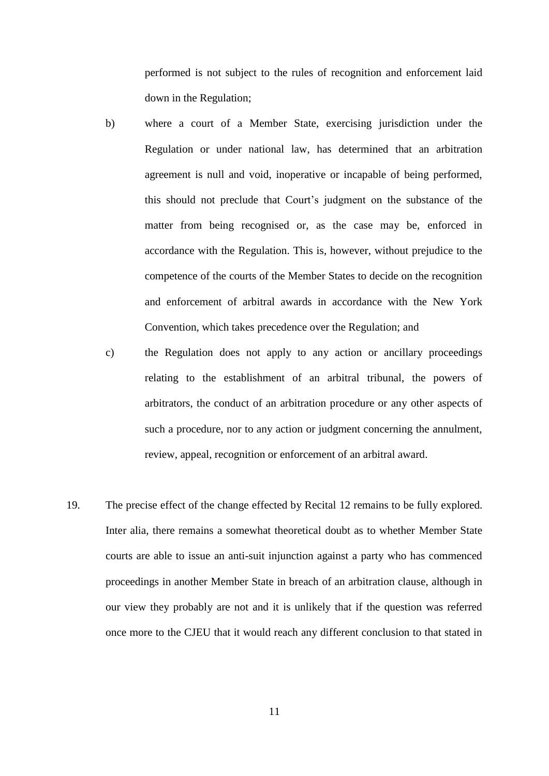performed is not subject to the rules of recognition and enforcement laid down in the Regulation;

- b) where a court of a Member State, exercising jurisdiction under the Regulation or under national law, has determined that an arbitration agreement is null and void, inoperative or incapable of being performed, this should not preclude that Court's judgment on the substance of the matter from being recognised or, as the case may be, enforced in accordance with the Regulation. This is, however, without prejudice to the competence of the courts of the Member States to decide on the recognition and enforcement of arbitral awards in accordance with the New York Convention, which takes precedence over the Regulation; and
- c) the Regulation does not apply to any action or ancillary proceedings relating to the establishment of an arbitral tribunal, the powers of arbitrators, the conduct of an arbitration procedure or any other aspects of such a procedure, nor to any action or judgment concerning the annulment, review, appeal, recognition or enforcement of an arbitral award.
- 19. The precise effect of the change effected by Recital 12 remains to be fully explored. Inter alia, there remains a somewhat theoretical doubt as to whether Member State courts are able to issue an anti-suit injunction against a party who has commenced proceedings in another Member State in breach of an arbitration clause, although in our view they probably are not and it is unlikely that if the question was referred once more to the CJEU that it would reach any different conclusion to that stated in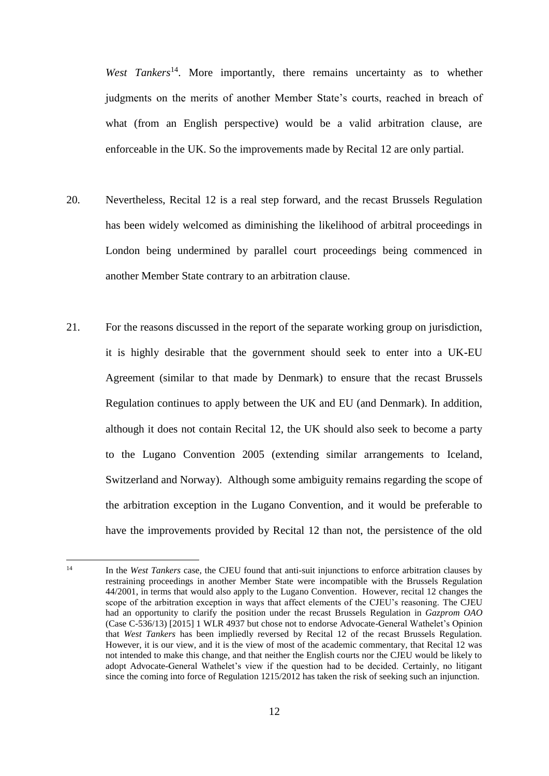*West Tankers*<sup>14</sup>. More importantly, there remains uncertainty as to whether judgments on the merits of another Member State's courts, reached in breach of what (from an English perspective) would be a valid arbitration clause, are enforceable in the UK. So the improvements made by Recital 12 are only partial.

- 20. Nevertheless, Recital 12 is a real step forward, and the recast Brussels Regulation has been widely welcomed as diminishing the likelihood of arbitral proceedings in London being undermined by parallel court proceedings being commenced in another Member State contrary to an arbitration clause.
- 21. For the reasons discussed in the report of the separate working group on jurisdiction, it is highly desirable that the government should seek to enter into a UK-EU Agreement (similar to that made by Denmark) to ensure that the recast Brussels Regulation continues to apply between the UK and EU (and Denmark). In addition, although it does not contain Recital 12, the UK should also seek to become a party to the Lugano Convention 2005 (extending similar arrangements to Iceland, Switzerland and Norway). Although some ambiguity remains regarding the scope of the arbitration exception in the Lugano Convention, and it would be preferable to have the improvements provided by Recital 12 than not, the persistence of the old

<sup>&</sup>lt;sup>14</sup> In the *West Tankers* case, the CJEU found that anti-suit injunctions to enforce arbitration clauses by restraining proceedings in another Member State were incompatible with the Brussels Regulation 44/2001, in terms that would also apply to the Lugano Convention. However, recital 12 changes the scope of the arbitration exception in ways that affect elements of the CJEU's reasoning. The CJEU had an opportunity to clarify the position under the recast Brussels Regulation in *Gazprom OAO* (Case C-536/13) [2015] 1 WLR 4937 but chose not to endorse Advocate-General Wathelet's Opinion that *West Tankers* has been impliedly reversed by Recital 12 of the recast Brussels Regulation. However, it is our view, and it is the view of most of the academic commentary, that Recital 12 was not intended to make this change, and that neither the English courts nor the CJEU would be likely to adopt Advocate-General Wathelet's view if the question had to be decided. Certainly, no litigant since the coming into force of Regulation 1215/2012 has taken the risk of seeking such an injunction.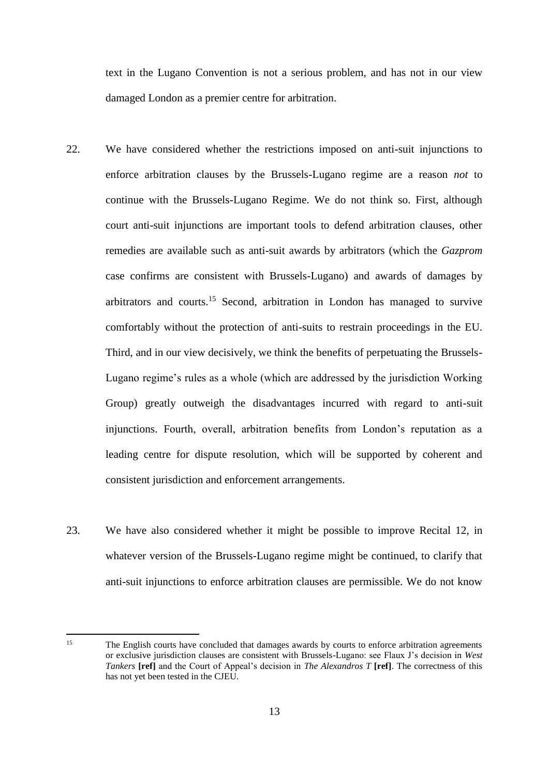text in the Lugano Convention is not a serious problem, and has not in our view damaged London as a premier centre for arbitration.

- 22. We have considered whether the restrictions imposed on anti-suit injunctions to enforce arbitration clauses by the Brussels-Lugano regime are a reason *not* to continue with the Brussels-Lugano Regime. We do not think so. First, although court anti-suit injunctions are important tools to defend arbitration clauses, other remedies are available such as anti-suit awards by arbitrators (which the *Gazprom* case confirms are consistent with Brussels-Lugano) and awards of damages by arbitrators and courts.<sup>15</sup> Second, arbitration in London has managed to survive comfortably without the protection of anti-suits to restrain proceedings in the EU. Third, and in our view decisively, we think the benefits of perpetuating the Brussels-Lugano regime's rules as a whole (which are addressed by the jurisdiction Working Group) greatly outweigh the disadvantages incurred with regard to anti-suit injunctions. Fourth, overall, arbitration benefits from London's reputation as a leading centre for dispute resolution, which will be supported by coherent and consistent jurisdiction and enforcement arrangements.
- 23. We have also considered whether it might be possible to improve Recital 12, in whatever version of the Brussels-Lugano regime might be continued, to clarify that anti-suit injunctions to enforce arbitration clauses are permissible. We do not know

 $15$ <sup>15</sup> The English courts have concluded that damages awards by courts to enforce arbitration agreements or exclusive jurisdiction clauses are consistent with Brussels-Lugano: see Flaux J's decision in *West Tankers* **[ref]** and the Court of Appeal's decision in *The Alexandros T* **[ref]**. The correctness of this has not yet been tested in the CJEU.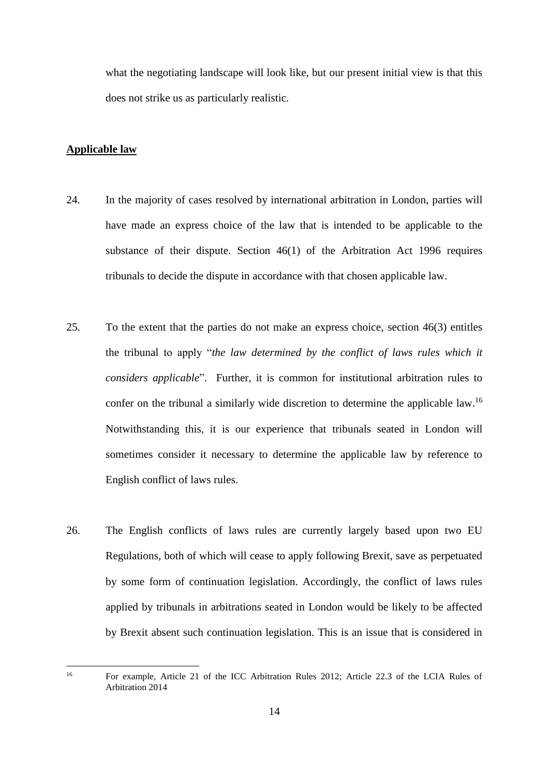what the negotiating landscape will look like, but our present initial view is that this does not strike us as particularly realistic.

# **Applicable law**

1

- 24. In the majority of cases resolved by international arbitration in London, parties will have made an express choice of the law that is intended to be applicable to the substance of their dispute. Section 46(1) of the Arbitration Act 1996 requires tribunals to decide the dispute in accordance with that chosen applicable law.
- 25. To the extent that the parties do not make an express choice, section 46(3) entitles the tribunal to apply "*the law determined by the conflict of laws rules which it considers applicable*". Further, it is common for institutional arbitration rules to confer on the tribunal a similarly wide discretion to determine the applicable law.<sup>16</sup> Notwithstanding this, it is our experience that tribunals seated in London will sometimes consider it necessary to determine the applicable law by reference to English conflict of laws rules.
- 26. The English conflicts of laws rules are currently largely based upon two EU Regulations, both of which will cease to apply following Brexit, save as perpetuated by some form of continuation legislation. Accordingly, the conflict of laws rules applied by tribunals in arbitrations seated in London would be likely to be affected by Brexit absent such continuation legislation. This is an issue that is considered in

<sup>16</sup> For example, Article 21 of the ICC Arbitration Rules 2012; Article 22.3 of the LCIA Rules of Arbitration 2014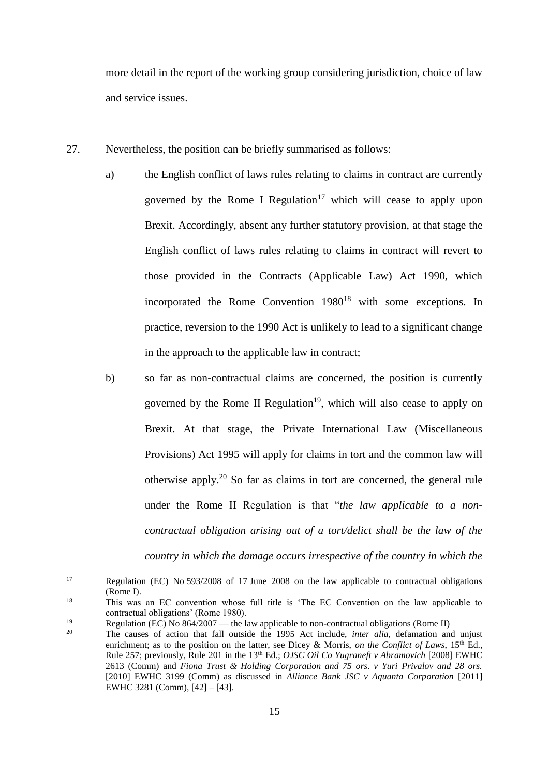more detail in the report of the working group considering jurisdiction, choice of law and service issues.

- 27. Nevertheless, the position can be briefly summarised as follows:
	- a) the English conflict of laws rules relating to claims in contract are currently governed by the Rome I Regulation<sup>17</sup> which will cease to apply upon Brexit. Accordingly, absent any further statutory provision, at that stage the English conflict of laws rules relating to claims in contract will revert to those provided in the Contracts (Applicable Law) Act 1990, which incorporated the Rome Convention  $1980^{18}$  with some exceptions. In practice, reversion to the 1990 Act is unlikely to lead to a significant change in the approach to the applicable law in contract;
	- b) so far as non-contractual claims are concerned, the position is currently governed by the Rome II Regulation<sup>19</sup>, which will also cease to apply on Brexit. At that stage, the Private International Law (Miscellaneous Provisions) Act 1995 will apply for claims in tort and the common law will otherwise apply. <sup>20</sup> So far as claims in tort are concerned, the general rule under the Rome II Regulation is that "*the law applicable to a noncontractual obligation arising out of a tort/delict shall be the law of the country in which the damage occurs irrespective of the country in which the*

<sup>17</sup> Regulation (EC) No 593/2008 of 17 June 2008 on the law applicable to contractual obligations (Rome I).

<sup>&</sup>lt;sup>18</sup> This was an EC convention whose full title is 'The EC Convention on the law applicable to contractual obligations' (Rome 1980).

<sup>&</sup>lt;sup>19</sup> Regulation (EC) No 864/2007 — the law applicable to non-contractual obligations (Rome II)<br><sup>20</sup> The senses of estima that fell eutside the 1005 Act include *inter alia* defenstion on

<sup>20</sup> The causes of action that fall outside the 1995 Act include, *inter alia*, defamation and unjust enrichment; as to the position on the latter, see Dicey & Morris, *on the Conflict of Laws*, 15<sup>th</sup> Ed., Rule 257; previously, Rule 201 in the 13<sup>th</sup> Ed.; *OJSC Oil Co Yugraneft v Abramovich* [2008] EWHC 2613 (Comm) and *Fiona Trust & Holding Corporation and 75 ors. v Yuri Privalov and 28 ors.* [2010] EWHC 3199 (Comm) as discussed in *Alliance Bank JSC v Aquanta Corporation* [2011] EWHC 3281 (Comm), [42] – [43].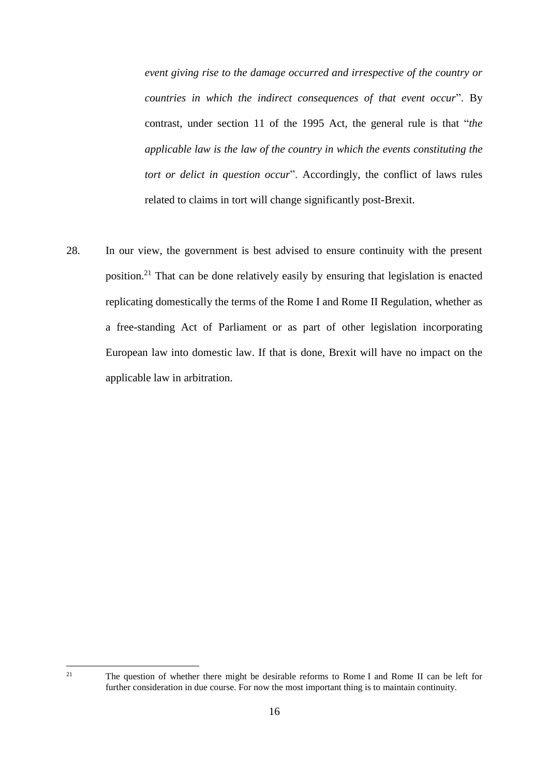*event giving rise to the damage occurred and irrespective of the country or countries in which the indirect consequences of that event occur*". By contrast, under section 11 of the 1995 Act, the general rule is that "*the applicable law is the law of the country in which the events constituting the tort or delict in question occur*". Accordingly, the conflict of laws rules related to claims in tort will change significantly post-Brexit.

28. In our view, the government is best advised to ensure continuity with the present position.<sup>21</sup> That can be done relatively easily by ensuring that legislation is enacted replicating domestically the terms of the Rome I and Rome II Regulation, whether as a free-standing Act of Parliament or as part of other legislation incorporating European law into domestic law. If that is done, Brexit will have no impact on the applicable law in arbitration.

<sup>21</sup> The question of whether there might be desirable reforms to Rome I and Rome II can be left for further consideration in due course. For now the most important thing is to maintain continuity.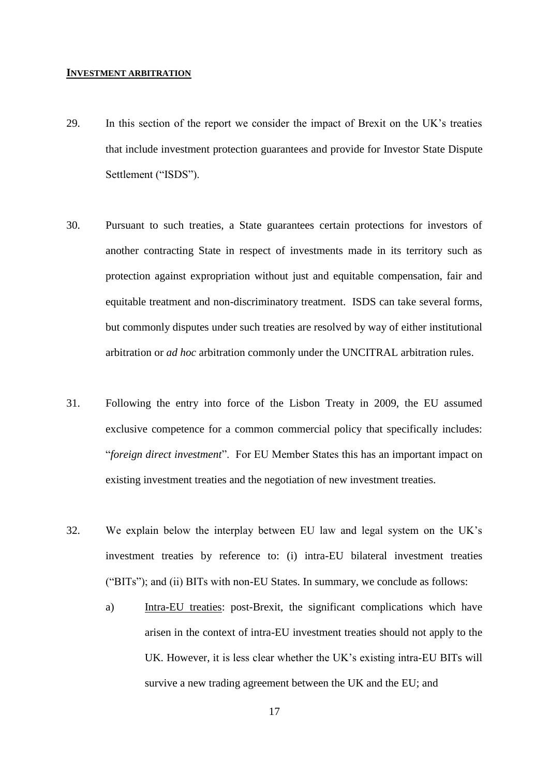#### **INVESTMENT ARBITRATION**

- 29. In this section of the report we consider the impact of Brexit on the UK's treaties that include investment protection guarantees and provide for Investor State Dispute Settlement ("ISDS").
- 30. Pursuant to such treaties, a State guarantees certain protections for investors of another contracting State in respect of investments made in its territory such as protection against expropriation without just and equitable compensation, fair and equitable treatment and non-discriminatory treatment. ISDS can take several forms, but commonly disputes under such treaties are resolved by way of either institutional arbitration or *ad hoc* arbitration commonly under the UNCITRAL arbitration rules.
- 31. Following the entry into force of the Lisbon Treaty in 2009, the EU assumed exclusive competence for a common commercial policy that specifically includes: "*foreign direct investment*". For EU Member States this has an important impact on existing investment treaties and the negotiation of new investment treaties.
- 32. We explain below the interplay between EU law and legal system on the UK's investment treaties by reference to: (i) intra-EU bilateral investment treaties ("BITs"); and (ii) BITs with non-EU States. In summary, we conclude as follows:
	- a) Intra-EU treaties: post-Brexit, the significant complications which have arisen in the context of intra-EU investment treaties should not apply to the UK. However, it is less clear whether the UK's existing intra-EU BITs will survive a new trading agreement between the UK and the EU; and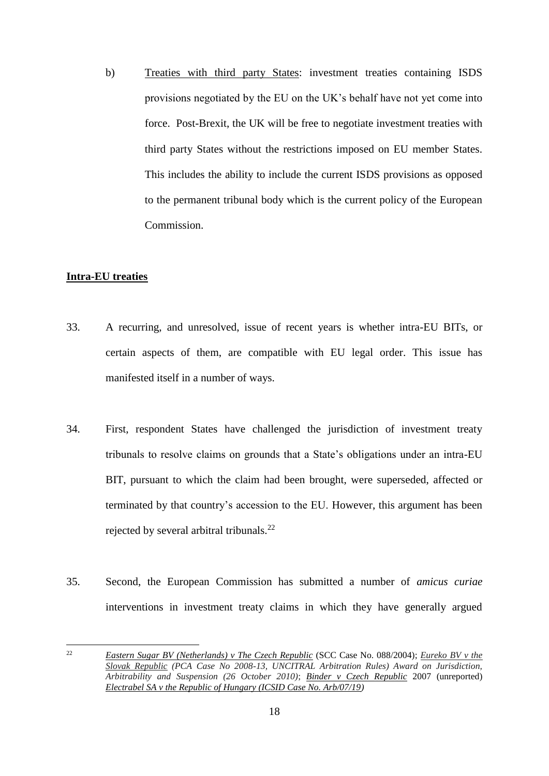b) Treaties with third party States: investment treaties containing ISDS provisions negotiated by the EU on the UK's behalf have not yet come into force. Post-Brexit, the UK will be free to negotiate investment treaties with third party States without the restrictions imposed on EU member States. This includes the ability to include the current ISDS provisions as opposed to the permanent tribunal body which is the current policy of the European Commission.

# **Intra-EU treaties**

- 33. A recurring, and unresolved, issue of recent years is whether intra-EU BITs, or certain aspects of them, are compatible with EU legal order. This issue has manifested itself in a number of ways.
- 34. First, respondent States have challenged the jurisdiction of investment treaty tribunals to resolve claims on grounds that a State's obligations under an intra-EU BIT, pursuant to which the claim had been brought, were superseded, affected or terminated by that country's accession to the EU. However, this argument has been rejected by several arbitral tribunals.<sup>22</sup>
- 35. Second, the European Commission has submitted a number of *amicus curiae* interventions in investment treaty claims in which they have generally argued

 $22$ <sup>22</sup> *Eastern Sugar BV (Netherlands) v The Czech Republic* (SCC Case No. 088/2004); *Eureko BV v the Slovak Republic (PCA Case No 2008-13, UNCITRAL Arbitration Rules) Award on Jurisdiction, Arbitrability and Suspension (26 October 2010)*; *Binder v Czech Republic* 2007 (unreported) *Electrabel SA v the Republic of Hungary (ICSID Case No. Arb/07/19)*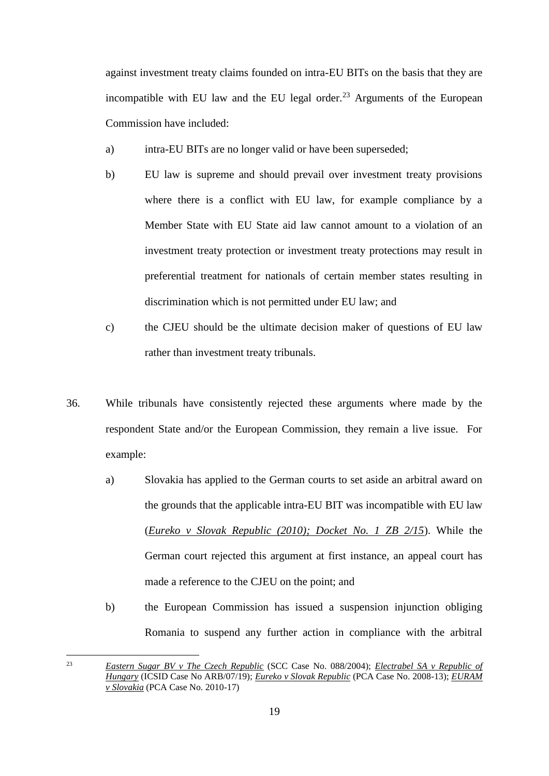against investment treaty claims founded on intra-EU BITs on the basis that they are incompatible with EU law and the EU legal order.<sup>23</sup> Arguments of the European Commission have included:

- a) intra-EU BITs are no longer valid or have been superseded;
- b) EU law is supreme and should prevail over investment treaty provisions where there is a conflict with EU law, for example compliance by a Member State with EU State aid law cannot amount to a violation of an investment treaty protection or investment treaty protections may result in preferential treatment for nationals of certain member states resulting in discrimination which is not permitted under EU law; and
- c) the CJEU should be the ultimate decision maker of questions of EU law rather than investment treaty tribunals.
- 36. While tribunals have consistently rejected these arguments where made by the respondent State and/or the European Commission, they remain a live issue. For example:
	- a) Slovakia has applied to the German courts to set aside an arbitral award on the grounds that the applicable intra-EU BIT was incompatible with EU law (*Eureko v Slovak Republic (2010); Docket No. 1 ZB 2/15*). While the German court rejected this argument at first instance, an appeal court has made a reference to the CJEU on the point; and
	- b) the European Commission has issued a suspension injunction obliging Romania to suspend any further action in compliance with the arbitral

<sup>23</sup> *Eastern Sugar BV v The Czech Republic* (SCC Case No. 088/2004); *Electrabel SA v Republic of Hungary* (ICSID Case No ARB/07/19); *Eureko v Slovak Republic* (PCA Case No. 2008-13); *EURAM v Slovakia* (PCA Case No. 2010-17)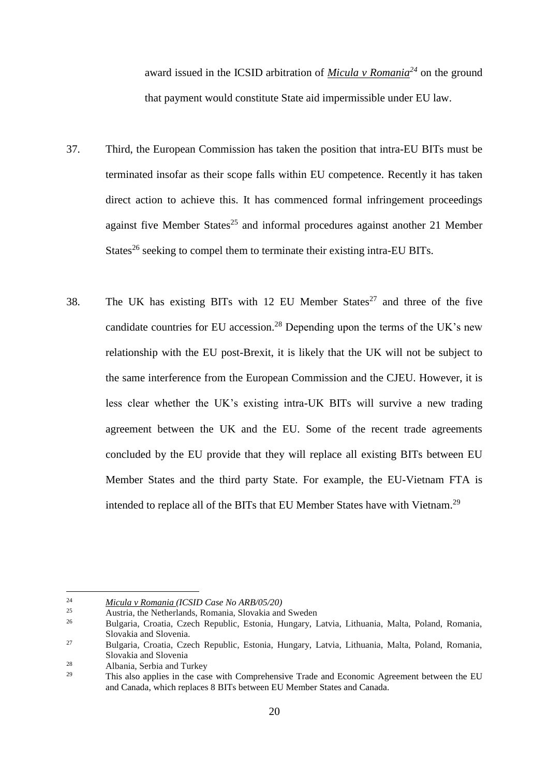award issued in the ICSID arbitration of *Micula v Romania<sup>24</sup>* on the ground that payment would constitute State aid impermissible under EU law.

- 37. Third, the European Commission has taken the position that intra-EU BITs must be terminated insofar as their scope falls within EU competence. Recently it has taken direct action to achieve this. It has commenced formal infringement proceedings against five Member States<sup>25</sup> and informal procedures against another 21 Member States<sup>26</sup> seeking to compel them to terminate their existing intra-EU BITs.
- 38. The UK has existing BITs with 12 EU Member States<sup>27</sup> and three of the five candidate countries for EU accession.<sup>28</sup> Depending upon the terms of the UK's new relationship with the EU post-Brexit, it is likely that the UK will not be subject to the same interference from the European Commission and the CJEU. However, it is less clear whether the UK's existing intra-UK BITs will survive a new trading agreement between the UK and the EU. Some of the recent trade agreements concluded by the EU provide that they will replace all existing BITs between EU Member States and the third party State. For example, the EU-Vietnam FTA is intended to replace all of the BITs that EU Member States have with Vietnam.<sup>29</sup>

<sup>24</sup> *Micula v Romania (ICSID Case No ARB/05/20)*

<sup>&</sup>lt;sup>25</sup> Austria, the Netherlands, Romania, Slovakia and Sweden<br><sup>26</sup> Pulsaria, Creek, Baruklia, Estazia, Urugena, I

<sup>26</sup> Bulgaria, Croatia, Czech Republic, Estonia, Hungary, Latvia, Lithuania, Malta, Poland, Romania, Slovakia and Slovenia.

<sup>27</sup> Bulgaria, Croatia, Czech Republic, Estonia, Hungary, Latvia, Lithuania, Malta, Poland, Romania, Slovakia and Slovenia

<sup>&</sup>lt;sup>28</sup> Albania, Serbia and Turkey<br><sup>29</sup> This also applies in the ass

<sup>29</sup> This also applies in the case with Comprehensive Trade and Economic Agreement between the EU and Canada, which replaces 8 BITs between EU Member States and Canada.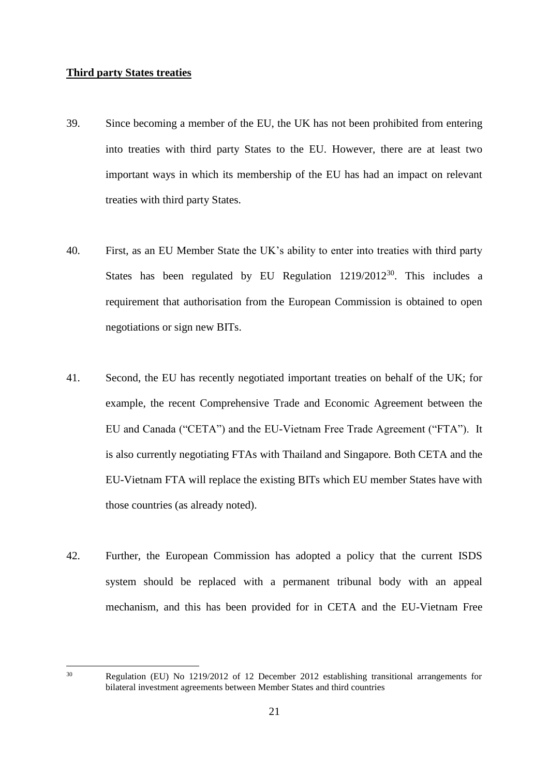# **Third party States treaties**

- 39. Since becoming a member of the EU, the UK has not been prohibited from entering into treaties with third party States to the EU. However, there are at least two important ways in which its membership of the EU has had an impact on relevant treaties with third party States.
- 40. First, as an EU Member State the UK's ability to enter into treaties with third party States has been regulated by EU Regulation  $1219/2012^{30}$ . This includes a requirement that authorisation from the European Commission is obtained to open negotiations or sign new BITs.
- 41. Second, the EU has recently negotiated important treaties on behalf of the UK; for example, the recent Comprehensive Trade and Economic Agreement between the EU and Canada ("CETA") and the EU-Vietnam Free Trade Agreement ("FTA"). It is also currently negotiating FTAs with Thailand and Singapore. Both CETA and the EU-Vietnam FTA will replace the existing BITs which EU member States have with those countries (as already noted).
- 42. Further, the European Commission has adopted a policy that the current ISDS system should be replaced with a permanent tribunal body with an appeal mechanism, and this has been provided for in CETA and the EU-Vietnam Free

<sup>30</sup> Regulation (EU) No 1219/2012 of 12 December 2012 establishing transitional arrangements for bilateral investment agreements between Member States and third countries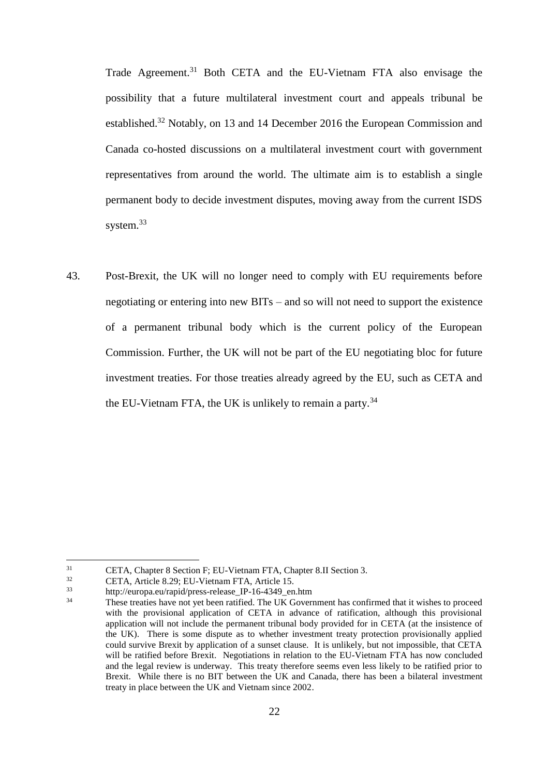Trade Agreement.<sup>31</sup> Both CETA and the EU-Vietnam FTA also envisage the possibility that a future multilateral investment court and appeals tribunal be established.<sup>32</sup> Notably, on 13 and 14 December 2016 the European Commission and Canada co-hosted discussions on a multilateral investment court with government representatives from around the world. The ultimate aim is to establish a single permanent body to decide investment disputes, moving away from the current ISDS system.<sup>33</sup>

43. Post-Brexit, the UK will no longer need to comply with EU requirements before negotiating or entering into new BITs – and so will not need to support the existence of a permanent tribunal body which is the current policy of the European Commission. Further, the UK will not be part of the EU negotiating bloc for future investment treaties. For those treaties already agreed by the EU, such as CETA and the EU-Vietnam FTA, the UK is unlikely to remain a party.<sup>34</sup>

<sup>&</sup>lt;sup>31</sup> CETA, Chapter 8 Section F; EU-Vietnam FTA, Chapter 8.II Section 3.<br>  $CETA$ , Article 8.20: EU Vietnam FTA, Article 15

 $CETA$ , Article 8.29; EU-Vietnam FTA, Article 15.<br>33 http://ourone.ou/repid/prose.relaxes\_IB\_16, 4340, en.

<sup>33</sup> http://europa.eu/rapid/press-release\_IP-16-4349\_en.htm

<sup>34</sup> These treaties have not yet been ratified. The UK Government has confirmed that it wishes to proceed with the provisional application of CETA in advance of ratification, although this provisional application will not include the permanent tribunal body provided for in CETA (at the insistence of the UK). There is some dispute as to whether investment treaty protection provisionally applied could survive Brexit by application of a sunset clause. It is unlikely, but not impossible, that CETA will be ratified before Brexit. Negotiations in relation to the EU-Vietnam FTA has now concluded and the legal review is underway. This treaty therefore seems even less likely to be ratified prior to Brexit. While there is no BIT between the UK and Canada, there has been a bilateral investment treaty in place between the UK and Vietnam since 2002.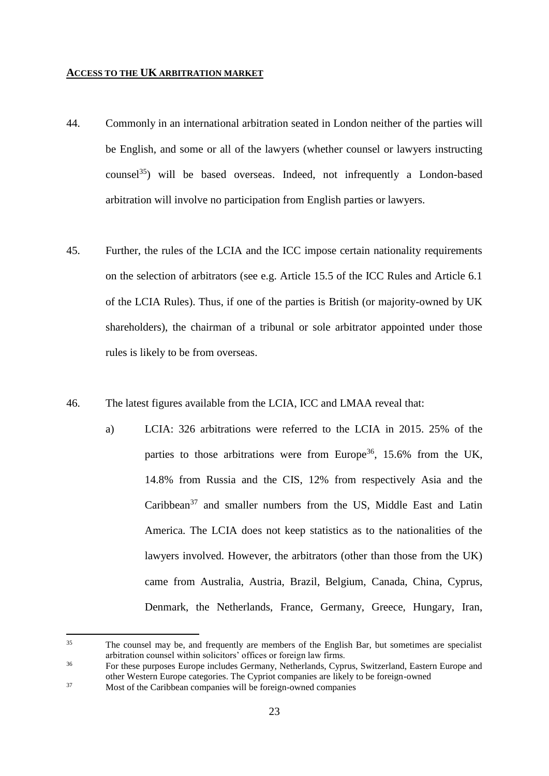# **ACCESS TO THE UK ARBITRATION MARKET**

- 44. Commonly in an international arbitration seated in London neither of the parties will be English, and some or all of the lawyers (whether counsel or lawyers instructing counsel $^{35}$ ) will be based overseas. Indeed, not infrequently a London-based arbitration will involve no participation from English parties or lawyers.
- 45. Further, the rules of the LCIA and the ICC impose certain nationality requirements on the selection of arbitrators (see e.g. Article 15.5 of the ICC Rules and Article 6.1 of the LCIA Rules). Thus, if one of the parties is British (or majority-owned by UK shareholders), the chairman of a tribunal or sole arbitrator appointed under those rules is likely to be from overseas.
- <span id="page-22-0"></span>46. The latest figures available from the LCIA, ICC and LMAA reveal that:
	- a) LCIA: 326 arbitrations were referred to the LCIA in 2015. 25% of the parties to those arbitrations were from Europe<sup>36</sup>, 15.6% from the UK, 14.8% from Russia and the CIS, 12% from respectively Asia and the Caribbean<sup>37</sup> and smaller numbers from the US, Middle East and Latin America. The LCIA does not keep statistics as to the nationalities of the lawyers involved. However, the arbitrators (other than those from the UK) came from Australia, Austria, Brazil, Belgium, Canada, China, Cyprus, Denmark, the Netherlands, France, Germany, Greece, Hungary, Iran,

 $35$ The counsel may be, and frequently are members of the English Bar, but sometimes are specialist arbitration counsel within solicitors' offices or foreign law firms.

<sup>&</sup>lt;sup>36</sup> For these purposes Europe includes Germany, Netherlands, Cyprus, Switzerland, Eastern Europe and other Western Europe categories. The Cypriot companies are likely to be foreign-owned <sup>37</sup> Most of the Caribbean companies will be foreign-owned companies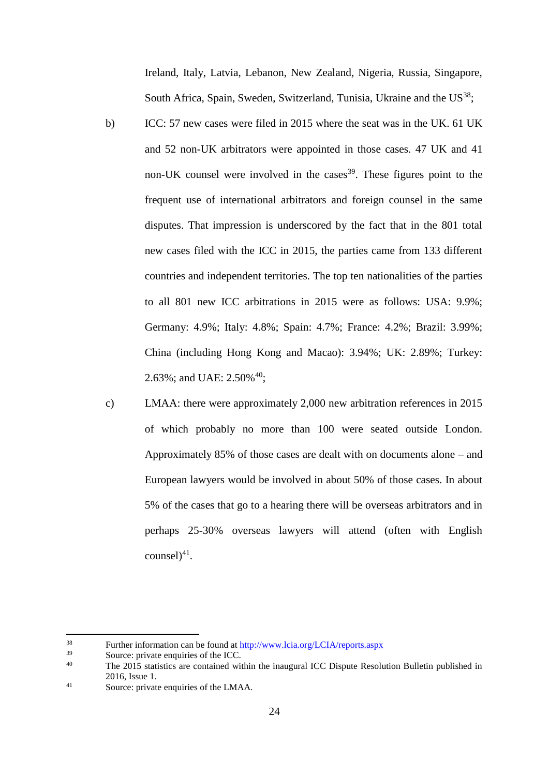Ireland, Italy, Latvia, Lebanon, New Zealand, Nigeria, Russia, Singapore, South Africa, Spain, Sweden, Switzerland, Tunisia, Ukraine and the  $US^{38}$ ;

- <span id="page-23-0"></span>b) ICC: 57 new cases were filed in 2015 where the seat was in the UK. 61 UK and 52 non-UK arbitrators were appointed in those cases. 47 UK and 41 non-UK counsel were involved in the cases<sup>39</sup>. These figures point to the frequent use of international arbitrators and foreign counsel in the same disputes. That impression is underscored by the fact that in the 801 total new cases filed with the ICC in 2015, the parties came from 133 different countries and independent territories. The top ten nationalities of the parties to all 801 new ICC arbitrations in 2015 were as follows: USA: 9.9%; Germany: 4.9%; Italy: 4.8%; Spain: 4.7%; France: 4.2%; Brazil: 3.99%; China (including Hong Kong and Macao): 3.94%; UK: 2.89%; Turkey: 2.63%; and UAE: 2.50%<sup>40</sup>;
- c) LMAA: there were approximately 2,000 new arbitration references in 2015 of which probably no more than 100 were seated outside London. Approximately 85% of those cases are dealt with on documents alone – and European lawyers would be involved in about 50% of those cases. In about 5% of the cases that go to a hearing there will be overseas arbitrators and in perhaps 25-30% overseas lawyers will attend (often with English  $countel)^{41}$ .

<sup>38</sup> Further information can be found at<http://www.lcia.org/LCIA/reports.aspx>

 $39$  Source: private enquiries of the ICC.

<sup>40</sup> The 2015 statistics are contained within the inaugural ICC Dispute Resolution Bulletin published in 2016, Issue 1.

<sup>41</sup> Source: private enquiries of the LMAA.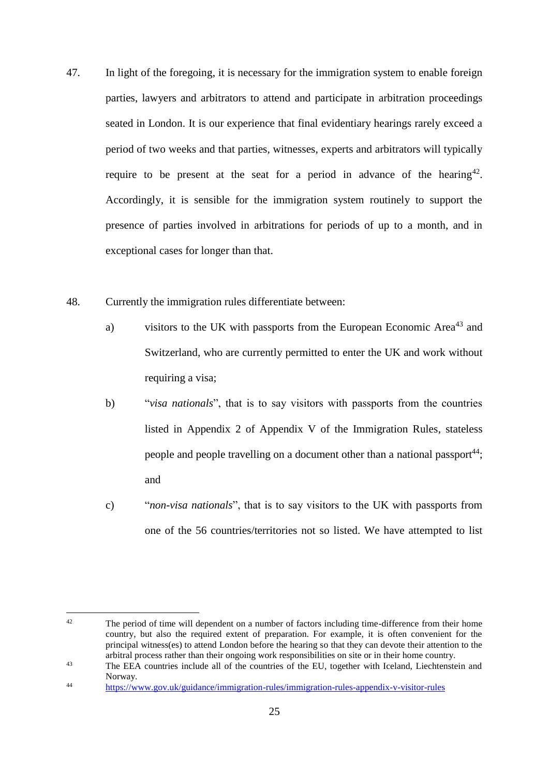- 47. In light of the foregoing, it is necessary for the immigration system to enable foreign parties, lawyers and arbitrators to attend and participate in arbitration proceedings seated in London. It is our experience that final evidentiary hearings rarely exceed a period of two weeks and that parties, witnesses, experts and arbitrators will typically require to be present at the seat for a period in advance of the hearing<sup>42</sup>. Accordingly, it is sensible for the immigration system routinely to support the presence of parties involved in arbitrations for periods of up to a month, and in exceptional cases for longer than that.
- 48. Currently the immigration rules differentiate between:
	- a) visitors to the UK with passports from the European Economic Area<sup>43</sup> and Switzerland, who are currently permitted to enter the UK and work without requiring a visa;
	- b) "*visa nationals*", that is to say visitors with passports from the countries listed in Appendix 2 of Appendix V of the Immigration Rules, stateless people and people travelling on a document other than a national passport<sup>44</sup>; and
	- c) "*non-visa nationals*", that is to say visitors to the UK with passports from one of the 56 countries/territories not so listed. We have attempted to list

 $42$ The period of time will dependent on a number of factors including time-difference from their home country, but also the required extent of preparation. For example, it is often convenient for the principal witness(es) to attend London before the hearing so that they can devote their attention to the arbitral process rather than their ongoing work responsibilities on site or in their home country.

<sup>&</sup>lt;sup>43</sup> The EEA countries include all of the countries of the EU, together with Iceland, Liechtenstein and Norway.

<sup>44</sup> <https://www.gov.uk/guidance/immigration-rules/immigration-rules-appendix-v-visitor-rules>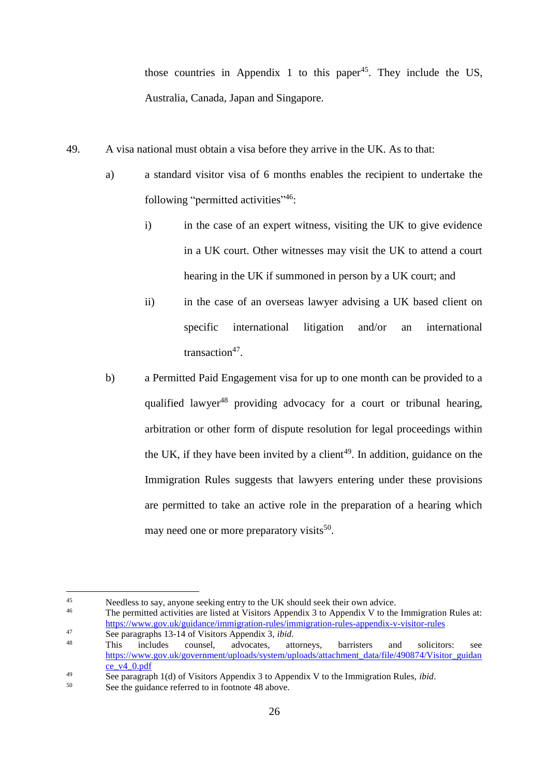those countries in Appendix 1 to this paper<sup>45</sup>. They include the US, Australia, Canada, Japan and Singapore.

- <span id="page-25-1"></span>49. A visa national must obtain a visa before they arrive in the UK. As to that:
	- a) a standard visitor visa of 6 months enables the recipient to undertake the following "permitted activities"<sup>46</sup>:
		- i) in the case of an expert witness, visiting the UK to give evidence in a UK court. Other witnesses may visit the UK to attend a court hearing in the UK if summoned in person by a UK court; and
		- ii) in the case of an overseas lawyer advising a UK based client on specific international litigation and/or an international transaction<sup>47</sup>.
	- b) a Permitted Paid Engagement visa for up to one month can be provided to a qualified lawyer<sup>48</sup> providing advocacy for a court or tribunal hearing, arbitration or other form of dispute resolution for legal proceedings within the UK, if they have been invited by a client<sup>49</sup>. In addition, guidance on the Immigration Rules suggests that lawyers entering under these provisions are permitted to take an active role in the preparation of a hearing which may need one or more preparatory visits<sup>50</sup>.

<span id="page-25-0"></span><sup>&</sup>lt;sup>45</sup><br>Needless to say, anyone seeking entry to the UK should seek their own advice.<br> $\frac{46}{100}$  The normitted estimative are listed at Victima Amendiu 2 to Amendiu V to the

<sup>46</sup> The permitted activities are listed at Visitors Appendix 3 to Appendix V to the Immigration Rules at: <https://www.gov.uk/guidance/immigration-rules/immigration-rules-appendix-v-visitor-rules>

<sup>47</sup> See paragraphs 13-14 of Visitors Appendix 3, *ibid*.

<sup>48</sup> This includes counsel, advocates, attorneys, barristers and solicitors: see [https://www.gov.uk/government/uploads/system/uploads/attachment\\_data/file/490874/Visitor\\_guidan](https://www.gov.uk/government/uploads/system/uploads/attachment_data/file/490874/Visitor_guidance_v4_0.pdf) [ce\\_v4\\_0.pdf](https://www.gov.uk/government/uploads/system/uploads/attachment_data/file/490874/Visitor_guidance_v4_0.pdf)

<sup>&</sup>lt;sup>49</sup> See paragraph 1(d) of Visitors Appendix 3 to Appendix V to the Immigration Rules, *ibid*.

See the guidance referred to in footnote [48](#page-25-0) above.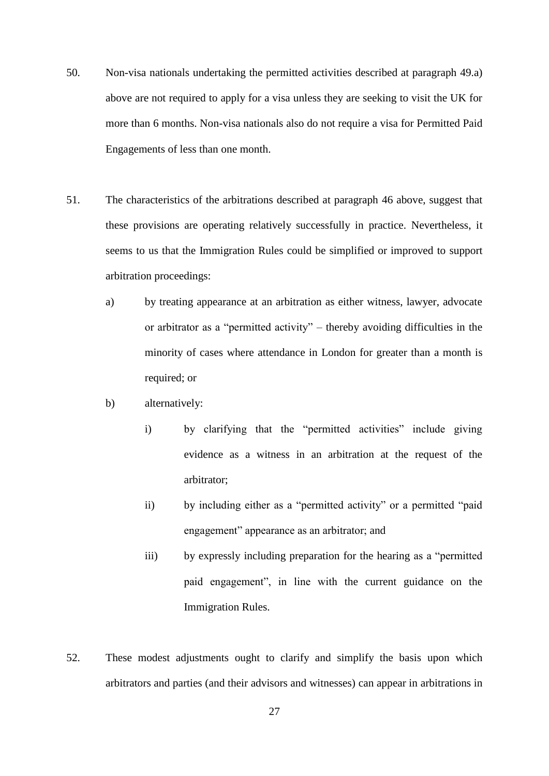- 50. Non-visa nationals undertaking the permitted activities described at paragraph [49.a\)](#page-25-1) above are not required to apply for a visa unless they are seeking to visit the UK for more than 6 months. Non-visa nationals also do not require a visa for Permitted Paid Engagements of less than one month.
- 51. The characteristics of the arbitrations described at paragraph [46](#page-22-0) above, suggest that these provisions are operating relatively successfully in practice. Nevertheless, it seems to us that the Immigration Rules could be simplified or improved to support arbitration proceedings:
	- a) by treating appearance at an arbitration as either witness, lawyer, advocate or arbitrator as a "permitted activity" – thereby avoiding difficulties in the minority of cases where attendance in London for greater than a month is required; or
	- b) alternatively:
		- i) by clarifying that the "permitted activities" include giving evidence as a witness in an arbitration at the request of the arbitrator;
		- ii) by including either as a "permitted activity" or a permitted "paid engagement" appearance as an arbitrator; and
		- iii) by expressly including preparation for the hearing as a "permitted paid engagement", in line with the current guidance on the Immigration Rules.
- 52. These modest adjustments ought to clarify and simplify the basis upon which arbitrators and parties (and their advisors and witnesses) can appear in arbitrations in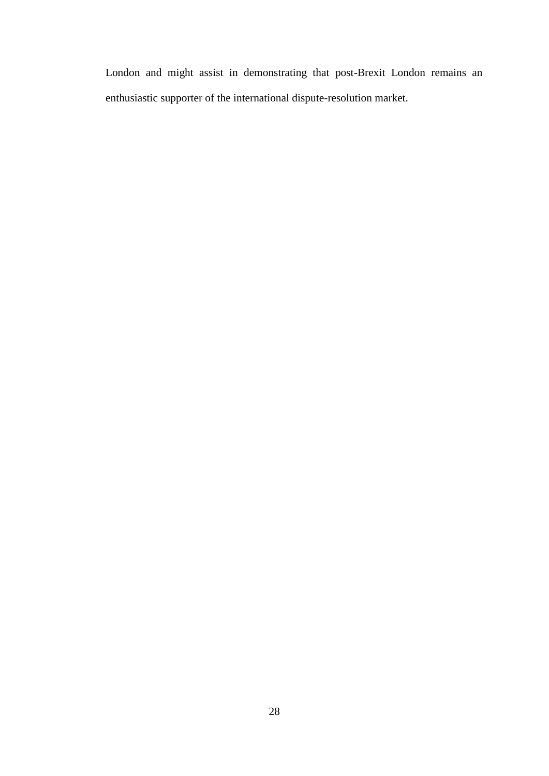London and might assist in demonstrating that post-Brexit London remains an enthusiastic supporter of the international dispute-resolution market.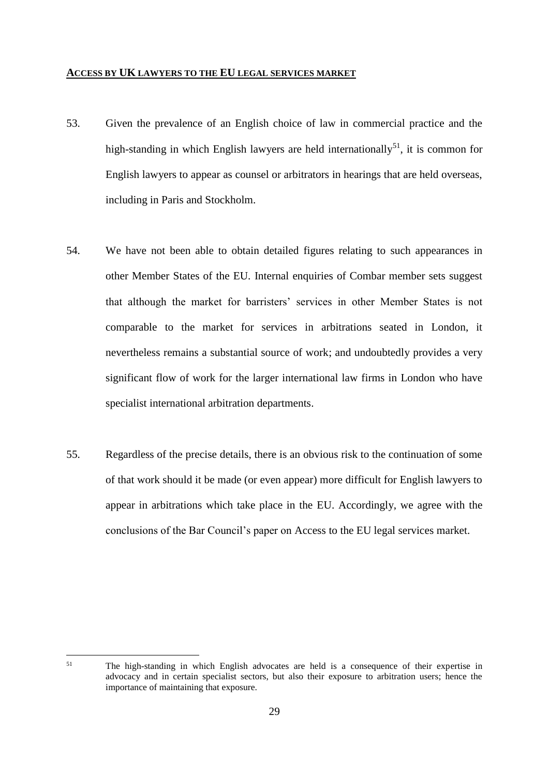## **ACCESS BY UK LAWYERS TO THE EU LEGAL SERVICES MARKET**

- 53. Given the prevalence of an English choice of law in commercial practice and the high-standing in which English lawyers are held internationally<sup>51</sup>, it is common for English lawyers to appear as counsel or arbitrators in hearings that are held overseas, including in Paris and Stockholm.
- 54. We have not been able to obtain detailed figures relating to such appearances in other Member States of the EU. Internal enquiries of Combar member sets suggest that although the market for barristers' services in other Member States is not comparable to the market for services in arbitrations seated in London, it nevertheless remains a substantial source of work; and undoubtedly provides a very significant flow of work for the larger international law firms in London who have specialist international arbitration departments.
- 55. Regardless of the precise details, there is an obvious risk to the continuation of some of that work should it be made (or even appear) more difficult for English lawyers to appear in arbitrations which take place in the EU. Accordingly, we agree with the conclusions of the Bar Council's paper on Access to the EU legal services market.

<sup>&</sup>lt;sup>51</sup> The high-standing in which English advocates are held is a consequence of their expertise in advocacy and in certain specialist sectors, but also their exposure to arbitration users; hence the importance of maintaining that exposure.